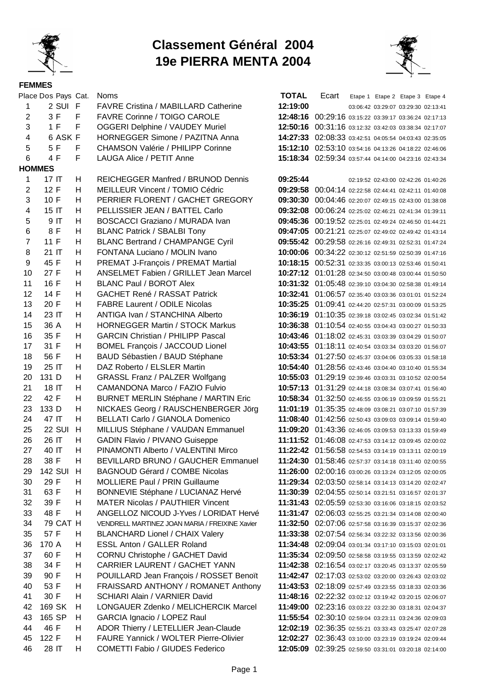

## **Classement Général 2004 19e PIERRA MENTA 2004**



|                         | Place Dos Pays Cat. |        | <b>Noms</b>                                                           | <b>TOTAL</b>                                                                                                   | Ecart                                                 |  | Etape 1 Etape 2 Etape 3 Etape 4     |  |
|-------------------------|---------------------|--------|-----------------------------------------------------------------------|----------------------------------------------------------------------------------------------------------------|-------------------------------------------------------|--|-------------------------------------|--|
| 1                       | 2 SUI F             |        | <b>FAVRE Cristina / MABILLARD Catherine</b>                           | 12:19:00                                                                                                       |                                                       |  | 03:06:42 03:29:07 03:29:30 02:13:41 |  |
| $\overline{2}$          | 3F                  | $-F$   | FAVRE Corinne / TOIGO CAROLE                                          | 12:48:16 00:29:16 03:15:22 03:39:17 03:36:24 02:17:13                                                          |                                                       |  |                                     |  |
| 3                       | 1 F                 | F      | <b>OGGERI Delphine / VAUDEY Muriel</b>                                | 12:50:16 00:31:16 03:12:32 03:42:03 03:38:34 02:17:07                                                          |                                                       |  |                                     |  |
| $\overline{\mathbf{4}}$ | 6 ASK F             |        | HORNEGGER Simone / PAZITNA Anna                                       | 14:27:33 02:08:33 03:42:51 04:05:54 04:03:43 02:35:05                                                          |                                                       |  |                                     |  |
| 5                       | 5 F                 | F.     | <b>CHAMSON Valérie / PHILIPP Corinne</b>                              | 15:12:10 02:53:10 03:54:16 04:13:26 04:18:22 02:46:06                                                          |                                                       |  |                                     |  |
| 6                       | 4 F                 | F.     | LAUGA Alice / PETIT Anne                                              | 15:18:34 02:59:34 03:57:44 04:14:00 04:23:16 02:43:34                                                          |                                                       |  |                                     |  |
| <b>HOMMES</b>           |                     |        |                                                                       |                                                                                                                |                                                       |  |                                     |  |
| $\mathbf{1}$            | 17 <sub>IT</sub>    | H.     | <b>REICHEGGER Manfred / BRUNOD Dennis</b>                             | 09:25:44                                                                                                       |                                                       |  | 02:19:52 02:43:00 02:42:26 01:40:26 |  |
| $\overline{2}$          | 12 F                | H      | MEILLEUR Vincent / TOMIO Cédric                                       | 09:29:58 00:04:14 02:22:58 02:44:41 02:42:11 01:40:08                                                          |                                                       |  |                                     |  |
| 3                       | 10 F                | H      | PERRIER FLORENT / GACHET GREGORY                                      | 09:30:30 00:04:46 02:20:07 02:49:15 02:43:00 01:38:08                                                          |                                                       |  |                                     |  |
| $\overline{\mathbf{4}}$ | 15 IT               | H      | PELLISSIER JEAN / BATTEL Carlo                                        | 09:32:08 00:06:24 02:25:02 02:46:21 02:41:34 01:39:11                                                          |                                                       |  |                                     |  |
| 5                       | 9 IT                | H      | BOSCACCI Graziano / MURADA Ivan                                       | 09:45:36 00:19:52 02:25:01 02:49:24 02:46:50 01:44:21                                                          |                                                       |  |                                     |  |
| 6                       | 8 F                 | H.     | <b>BLANC Patrick / SBALBI Tony</b>                                    | 09:47:05 00:21:21 02:25:07 02:49:02 02:49:42 01:43:14                                                          |                                                       |  |                                     |  |
| $\overline{7}$          | 11 F                | H      | <b>BLANC Bertrand / CHAMPANGE Cyril</b>                               | 09:55:42 00:29:58 02:26:16 02:49:31 02:52:31 01:47:24                                                          |                                                       |  |                                     |  |
| 8                       | 21 IT               | H      | FONTANA Luciano / MOLIN Ivano                                         | 10:00:06 00:34:22 02:30:12 02:51:59 02:50:39 01:47:16                                                          |                                                       |  |                                     |  |
| 9                       | 45 F                | H      | PREMAT J-François / PREMAT Martial                                    | 10:18:15 00:52:31 02:33:35 03:00:13 02:53:46 01:50:41                                                          |                                                       |  |                                     |  |
| 10                      | 27 F                | H      | ANSELMET Fabien / GRILLET Jean Marcel                                 | 10:27:12 01:01:28 02:34:50 03:00:48 03:00:44 01:50:50                                                          |                                                       |  |                                     |  |
| 11<br>12                | 16 F<br>14 F        | H<br>H | <b>BLANC Paul / BOROT Alex</b><br><b>GACHET René / RASSAT Patrick</b> | 10:31:32 01:05:48 02:39:10 03:04:30 02:58:38 01:49:14                                                          |                                                       |  |                                     |  |
| 13                      | 20 F                | H      | <b>FABRE Laurent / ODILE Nicolas</b>                                  | 10:32:41 01:06:57 02:35:40 03:03:36 03:01:01 01:52:24<br>10:35:25 01:09:41 02:44:20 02:57:31 03:00:09 01:53:25 |                                                       |  |                                     |  |
| 14                      | 23 IT               | Н.     | ANTIGA Ivan / STANCHINA Alberto                                       | 10:36:19 01:10:35 02:39:18 03:02:45 03:02:34 01:51:42                                                          |                                                       |  |                                     |  |
| 15                      | 36 A                | H.     | <b>HORNEGGER Martin / STOCK Markus</b>                                | 10:36:38 01:10:54 02:40:55 03:04:43 03:00:27 01:50:33                                                          |                                                       |  |                                     |  |
| 16                      | 35 F                | H.     | <b>GARCIN Christian / PHILIPP Pascal</b>                              | 10:43:46 01:18:02 02:45:31 03:03:39 03:04:29 01:50:07                                                          |                                                       |  |                                     |  |
| 17                      | 31 F                | H      | <b>BOMEL François / JACCOUD Lionel</b>                                | 10:43:55 01:18:11 02:40:54 03:03:34 03:03:20 01:56:07                                                          |                                                       |  |                                     |  |
| 18                      | 56 F                | H      | BAUD Sébastien / BAUD Stéphane                                        | 10:53:34 01:27:50 02:45:37 03:04:06 03:05:33 01:58:18                                                          |                                                       |  |                                     |  |
| 19                      | 25 IT               | H      | DAZ Roberto / ELSLER Martin                                           | 10:54:40 01:28:56 02:43:46 03:04:40 03:10:40 01:55:34                                                          |                                                       |  |                                     |  |
| 20                      | 131 D               | H      | GRASSL Franz / PALZER Wolfgang                                        | 10:55:03 01:29:19 02:39:46 03:03:31 03:10:52 02:00:54                                                          |                                                       |  |                                     |  |
| 21                      | 18 IT               | H      | CAMANDONA Marco / FAZIO Fulvio                                        | 10:57:13 01:31:29 02:44:18 03:08:34 03:07:41 01:56:40                                                          |                                                       |  |                                     |  |
| 22                      | 42 F                | H      | <b>BURNET MERLIN Stéphane / MARTIN Eric</b>                           |                                                                                                                | 10:58:34 01:32:50 02:46:55 03:06:19 03:09:59 01:55:21 |  |                                     |  |
| 23                      | 133 D               | H      | NICKAES Georg / RAUSCHENBERGER Jörg                                   |                                                                                                                | 11:01:19 01:35:35 02:48:09 03:08:21 03:07:10 01:57:39 |  |                                     |  |
| 24                      | 47 IT               | H      | BELLATI Carlo / GIANOLA Domenico                                      | 11:08:40 01:42:56 02:50:43 03:09:03 03:09:14 01:59:40                                                          |                                                       |  |                                     |  |
| 25                      | <b>22 SUI</b>       | H      | MILLIUS Stéphane / VAUDAN Emmanuel                                    | 11:09:20 01:43:36 02:46:05 03:09:53 03:13:33 01:59:49                                                          |                                                       |  |                                     |  |
| 26                      | 26 IT               | H      | GADIN Flavio / PIVANO Guiseppe                                        | 11:11:52 01:46:08 02:47:53 03:14:12 03:09:45 02:00:02                                                          |                                                       |  |                                     |  |
| 27                      | 40 IT               | H      | PINAMONTI Alberto / VALENTINI Mirco                                   | 11:22:42 01:56:58 02:54:53 03:14:19 03:13:11 02:00:19                                                          |                                                       |  |                                     |  |
| 28                      | 38 F                | H      | BEVILLARD BRUNO / GAUCHER Emmanuel                                    |                                                                                                                | 11:24:30 01:58:46 02:57:37 03:14:18 03:11:40 02:00:55 |  |                                     |  |
| 29                      | 142 SUI H           |        | <b>BAGNOUD Gérard / COMBE Nicolas</b>                                 |                                                                                                                | 11:26:00 02:00:16 03:00:26 03:13:24 03:12:05 02:00:05 |  |                                     |  |
| 30                      | 29 F                | H.     | <b>MOLLIERE Paul / PRIN Guillaume</b>                                 |                                                                                                                | 11:29:34 02:03:50 02:58:14 03:14:13 03:14:20 02:02:47 |  |                                     |  |
| 31                      | 63 F                | H      | BONNEVIE Stéphane / LUCIANAZ Hervé                                    |                                                                                                                | 11:30:39 02:04:55 02:50:14 03:21:51 03:16:57 02:01:37 |  |                                     |  |
| 32                      | 39 F                | H.     | <b>MATER Nicolas / PAUTHIER Vincent</b>                               | 11:31:43 02:05:59 02:53:30 03:16:06 03:18:15 02:03:52                                                          |                                                       |  |                                     |  |
| 33                      | 48 F                | H      | ANGELLOZ NICOUD J-Yves / LORIDAT Hervé                                |                                                                                                                | 11:31:47 02:06:03 02:55:25 03:21:34 03:14:08 02:00:40 |  |                                     |  |
| 34                      | 79 CAT H            |        | VENDRELL MARTINEZ JOAN MARIA / FREIXINE Xavier                        |                                                                                                                | 11:32:50 02:07:06 02:57:58 03:16:39 03:15:37 02:02:36 |  |                                     |  |
| 35                      | 57 F                | H      | <b>BLANCHARD Lionel / CHAIX Valery</b>                                |                                                                                                                | 11:33:38 02:07:54 02:56:34 03:22:32 03:13:56 02:00:36 |  |                                     |  |
| 36                      | 170 A               | H.     | ESSL Anton / GALLER Roland                                            |                                                                                                                | 11:34:48 02:09:04 03:01:34 03:17:10 03:15:03 02:01:01 |  |                                     |  |
| 37                      | 60 F                | H.     | CORNU Christophe / GACHET David                                       | 11:35:34 02:09:50 02:58:58 03:19:55 03:13:59 02:02:42                                                          |                                                       |  |                                     |  |
| 38                      | 34 F                | H      | CARRIER LAURENT / GACHET YANN                                         |                                                                                                                | 11:42:38 02:16:54 03:02:17 03:20:45 03:13:37 02:05:59 |  |                                     |  |
| 39                      | 90 F                | H      | POUILLARD Jean François / ROSSET Benoït                               |                                                                                                                | 11:42:47 02:17:03 02:53:02 03:20:00 03:26:43 02:03:02 |  |                                     |  |
| 40                      | 53 F                | H      | FRAISSARD ANTHONY / ROMANET Anthony                                   |                                                                                                                | 11:43:53 02:18:09 02:57:49 03:23:55 03:18:33 02:03:36 |  |                                     |  |
| 41                      | 30 F                | H      | SCHIARI Alain / VARNIER David                                         | 11:48:16 02:22:32 03:02:12 03:19:42 03:20:15 02:06:07                                                          |                                                       |  |                                     |  |
| 42                      | 169 SK              | H      | LONGAUER Zdenko / MELICHERCIK Marcel                                  |                                                                                                                | 11:49:00 02:23:16 03:03:22 03:22:30 03:18:31 02:04:37 |  |                                     |  |
| 43                      | 165 SP              | H      | GARCIA Ignacio / LOPEZ Raul                                           |                                                                                                                | 11:55:54 02:30:10 02:59:04 03:23:11 03:24:36 02:09:03 |  |                                     |  |
| 44                      | 46 F                | H      | ADOR Thierry / LETELLIER Jean-Claude                                  |                                                                                                                | 12:02:19 02:36:35 02:55:21 03:33:43 03:25:47 02:07:28 |  |                                     |  |
| 45                      | 122 F               | H      | <b>FAURE Yannick / WOLTER Pierre-Olivier</b>                          |                                                                                                                | 12:02:27 02:36:43 03:10:00 03:23:19 03:19:24 02:09:44 |  |                                     |  |
| 46                      | 28 IT               | H.     | COMETTI Fabio / GIUDES Federico                                       |                                                                                                                | 12:05:09 02:39:25 02:59:50 03:31:01 03:20:18 02:14:00 |  |                                     |  |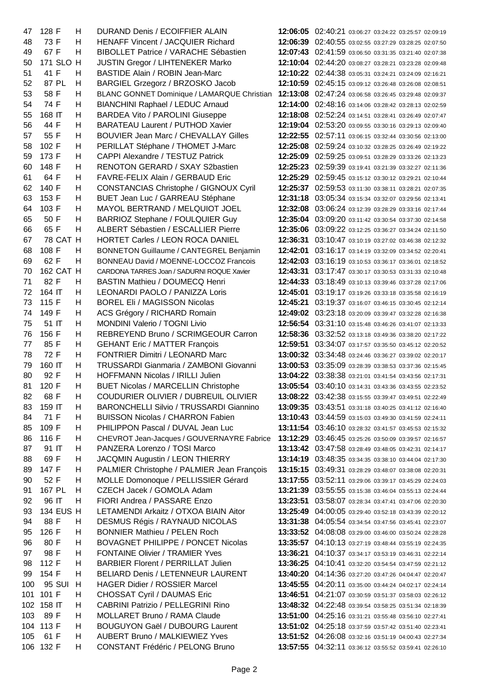| 47  | 128 F     | Н  | <b>DURAND Denis / ECOIFFIER ALAIN</b>          |          | 12:06:05 02:40:21 03:06:27 03:24:22 03:25:57 02:09:19 |
|-----|-----------|----|------------------------------------------------|----------|-------------------------------------------------------|
| 48  | 73 F      | н  | <b>HENAFF Vincent / JACQUIER Richard</b>       |          | 12:06:39 02:40:55 03:02:55 03:27:29 03:28:25 02:07:50 |
| 49  | 67 F      | н  | <b>BIBOLLET Patrice / VARACHE Sébastien</b>    |          | 12:07:43 02:41:59 03:06:50 03:31:35 03:21:40 02:07:38 |
| 50  | 171 SLO H |    | <b>JUSTIN Gregor / LIHTENEKER Marko</b>        |          | 12:10:04 02:44:20 03:08:27 03:28:21 03:23:28 02:09:48 |
| 51  | 41 F      | H  | <b>BASTIDE Alain / ROBIN Jean-Marc</b>         |          | 12:10:22 02:44:38 03:05:31 03:24:21 03:24:09 02:16:21 |
| 52  | 87 PL     | н  | BARGIEL Grzegorz / BRZOSKO Jacob               |          | 12:10:59 02:45:15 03:09:12 03:26:48 03:26:08 02:08:51 |
| 53  | 58 F      | н  | BLANC GONNET Dominique / LAMARQUE Christian    |          | 12:13:08 02:47:24 03:06:58 03:26:45 03:29:48 02:09:37 |
| 54  | 74 F      | Н  | <b>BIANCHINI Raphael / LEDUC Arnaud</b>        |          | 12:14:00 02:48:16 03:14:06 03:28:42 03:28:13 02:02:59 |
| 55  | 168 IT    | н  | <b>BARDEA Vito / PAROLINI Giuseppe</b>         |          | 12:18:08 02:52:24 03:14:51 03:28:41 03:26:49 02:07:47 |
| 56  | 44 F      | н  | <b>BARATEAU Laurent / PUTHOD Xavier</b>        |          | 12:19:04 02:53:20 03:09:55 03:30:16 03:29:13 02:09:40 |
| 57  | 55 F      | н  | <b>BOUVIER Jean Marc / CHEVALLAY Gilles</b>    |          | 12:22:55 02:57:11 03:06:15 03:32:44 03:30:56 02:13:00 |
| 58  | 102 F     | H  | PERILLAT Stéphane / THOMET J-Marc              |          | 12:25:08 02:59:24 03:10:32 03:28:25 03:26:49 02:19:22 |
| 59  | 173 F     | Η  | CAPPI Alexandre / TESTUZ Patrick               |          | 12:25:09 02:59:25 03:09:51 03:28:29 03:33:26 02:13:23 |
| 60  | 148 F     | н  | RENOTON GERARD / SXAY S2bastien                |          | 12:25:23 02:59:39 03:19:41 03:21:39 03:32:27 02:11:36 |
| 61  | 64 F      | H  | FAVRE-FELIX Alain / GERBAUD Eric               |          | 12:25:29 02:59:45 03:15:12 03:30:12 03:29:21 02:10:44 |
| 62  | 140 F     | H  | <b>CONSTANCIAS Christophe / GIGNOUX Cyril</b>  |          | 12:25:37 02:59:53 03:11:30 03:38:11 03:28:21 02:07:35 |
| 63  | 153 F     | H  | BUET Jean Luc / GARREAU Stéphane               |          | 12:31:18 03:05:34 03:15:34 03:32:07 03:29:56 02:13:41 |
| 64  | 103 F     | н  | MAYOL BERTRAND / MELQUIOT JOEL                 |          | 12:32:08 03:06:24 03:12:39 03:28:29 03:33:16 02:17:44 |
| 65  | 50 F      | H  | BARRIOZ Stephane / FOULQUIER Guy               |          | 12:35:04 03:09:20 03:11:42 03:30:54 03:37:30 02:14:58 |
| 66  | 65 F      | H  | ALBERT Sébastien / ESCALLIER Pierre            |          | 12:35:06 03:09:22 03:12:25 03:36:27 03:34:24 02:11:50 |
| 67  | 78 CAT H  |    | HORTET Carles / LEON ROCA DANIEL               |          | 12:36:31 03:10:47 03:10:19 03:27:02 03:46:38 02:12:32 |
| 68  | 108 F     | н  | <b>BONNETON Guillaume / CANTEGREL Benjamin</b> |          | 12:42:01 03:16:17 03:14:19 03:32:09 03:34:52 02:20:41 |
| 69  | 62 F      | н  | BONNEAU David / MOENNE-LOCCOZ Francois         |          | 12:42:03 03:16:19 03:10:53 03:36:17 03:36:01 02:18:52 |
| 70  | 162 CAT H |    | CARDONA TARRES Joan / SADURNI ROQUE Xavier     |          | 12:43:31 03:17:47 03:30:17 03:30:53 03:31:33 02:10:48 |
| 71  | 82 F      | н  | BASTIN Mathieu / DOUMECQ Henri                 |          | 12:44:33 03:18:49 03:10:13 03:39:46 03:37:28 02:17:06 |
| 72  | 164 IT    | н  | LEONARDI PAOLO / PANIZZA Loris                 |          | 12:45:01 03:19:17 03:19:26 03:33:18 03:35:58 02:16:19 |
| 73  | 115 F     | н  | <b>BOREL Eli / MAGISSON Nicolas</b>            | 12:45:21 | 03:19:37 03:16:07 03:46:15 03:30:45 02:12:14          |
| 74  | 149 F     | Η  | ACS Grégory / RICHARD Romain                   |          | 12:49:02 03:23:18 03:20:09 03:39:47 03:32:28 02:16:38 |
| 75  | 51 IT     | н  | MONDINI Valerio / TOGNI Livio                  |          | 12:56:54 03:31:10 03:15:48 03:46:26 03:41:07 02:13:33 |
| 76  | 156 F     | н  | REBREYEND Bruno / SCRIMGEOUR Carron            |          | 12:58:36 03:32:52 03:13:18 03:49:36 03:38:20 02:17:22 |
| 77  | 85 F      | H  | <b>GEHANT Eric / MATTER François</b>           |          | 12:59:51 03:34:07 03:17:57 03:35:50 03:45:12 02:20:52 |
| 78  | 72 F      | H  | FONTRIER Dimitri / LEONARD Marc                |          | 13:00:32 03:34:48 03:24:46 03:36:27 03:39:02 02:20:17 |
| 79  | 160 IT    | н  | TRUSSARDI Gianmaria / ZAMBONI Giovanni         |          | 13:00:53 03:35:09 03:28:39 03:38:53 03:37:36 02:15:45 |
| 80  | 92 F      | н  | HOFFMANN Nicolas / IRILLI Julien               |          | 13:04:22 03:38:38 03:21:01 03:41:54 03:43:56 02:17:31 |
| 81  | 120 F     | н  | <b>BUET Nicolas / MARCELLIN Christophe</b>     |          | 13:05:54 03:40:10 03:14:31 03:43:36 03:43:55 02:23:52 |
| 82  | 68 F      | Н  | COUDURIER OLIVIER / DUBREUIL OLIVIER           |          | 13:08:22 03:42:38 03:15:55 03:39:47 03:49:51 02:22:49 |
| 83  | 159 IT    | H  | <b>BARONCHELLI Silvio / TRUSSARDI Giannino</b> |          | 13:09:35 03:43:51 03:31:18 03:40:25 03:41:12 02:16:40 |
| 84  | 71 F      | н  | <b>BUISSON Nicolas / CHARRON Fabien</b>        |          | 13:10:43 03:44:59 03:15:03 03:49:30 03:41:59 02:24:11 |
| 85  | 109 F     | H  | PHILIPPON Pascal / DUVAL Jean Luc              |          | 13:11:54 03:46:10 03:28:32 03:41:57 03:45:53 02:15:32 |
| 86  | 116 F     | H  | CHEVROT Jean-Jacques / GOUVERNAYRE Fabrice     |          | 13:12:29 03:46:45 03:25:26 03:50:09 03:39:57 02:16:57 |
| 87  | 91 IT     | H  | PANZERA Lorenzo / TOSI Marco                   |          | 13:13:42 03:47:58 03:28:49 03:48:05 03:42:31 02:14:17 |
| 88  | 69 F      | н  | JACQMIN Augustin / LEON THIERRY                |          | 13:14:19 03:48:35 03:34:35 03:38:10 03:44:04 02:17:30 |
| 89  | 147 F     | H  | PALMIER Christophe / PALMIER Jean François     |          | 13:15:15 03:49:31 03:28:29 03:48:07 03:38:08 02:20:31 |
| 90  | 52 F      | H  | MOLLE Domonoque / PELLISSIER Gérard            |          | 13:17:55 03:52:11 03:29:06 03:39:17 03:45:29 02:24:03 |
| 91  | 167 PL    | H  | CZECH Jacek / GOMOLA Adam                      |          | 13:21:39 03:55:55 03:15:38 03:46:04 03:55:13 02:24:44 |
| 92  | 96 IT     | н  | FIORI Andrea / PASSARE Enzo                    |          | 13:23:51 03:58:07 03:28:34 03:47:41 03:47:06 02:20:30 |
| 93  | 134 EUS H |    | LETAMENDI Arkaitz / OTXOA BIAIN Aitor          |          | 13:25:49 04:00:05 03:29:40 03:52:18 03:43:39 02:20:12 |
| 94  | 88 F      | H  | DESMUS Régis / RAYNAUD NICOLAS                 |          | 13:31:38 04:05:54 03:34:54 03:47:56 03:45:41 02:23:07 |
| 95  | 126 F     | н  | <b>BONNIER Mathieu / PELEN Roch</b>            |          | 13:33:52 04:08:08 03:29:00 03:46:00 03:50:24 02:28:28 |
|     |           |    |                                                |          |                                                       |
| 96  | 80 F      | н  | <b>BOVAGNET PHILIPPE / PONCET Nicolas</b>      |          | 13:35:57 04:10:13 03:27:19 03:48:44 03:55:19 02:24:35 |
| 97  | 98 F      | H  | <b>FONTAINE Olivier / TRAMIER Yves</b>         |          | 13:36:21 04:10:37 03:34:17 03:53:19 03:46:31 02:22:14 |
| 98  | 112 F     | H  | <b>BARBIER Florent / PERRILLAT Julien</b>      |          | 13:36:25 04:10:41 03:32:20 03:54:54 03:47:59 02:21:12 |
| 99  | 154 F     | н  | <b>BELIARD Denis / LETENNEUR LAURENT</b>       |          | 13:40:20 04:14:36 03:27:20 03:47:26 04:04:47 02:20:47 |
| 100 | 95 SUI    | H  | <b>HAGER Didier / ROSSIER Marcel</b>           |          | 13:45:55 04:20:11 03:35:00 03:44:24 04:02:17 02:24:14 |
| 101 | 101 F     | H  | <b>CHOSSAT Cyril / DAUMAS Eric</b>             |          | 13:46:51 04:21:07 03:30:59 03:51:37 03:58:03 02:26:12 |
| 102 | 158 IT    | H. | <b>CABRINI Patrizio / PELLEGRINI Rino</b>      |          | 13:48:32 04:22:48 03:39:54 03:58:25 03:51:34 02:18:39 |
| 103 | 89 F      | H  | MOLLARET Bruno / RAMA Claude                   |          | 13:51:00 04:25:16 03:31:21 03:55:48 03:56:10 02:27:41 |
|     | 104 113 F | н  | <b>BOUGUYON Gaël / DUBOURG Laurent</b>         |          | 13:51:02 04:25:18 03:37:59 03:57:42 03:51:40 02:23:41 |
| 105 | 61 F      | н  | <b>AUBERT Bruno / MALKIEWIEZ Yves</b>          |          | 13:51:52 04:26:08 03:32:16 03:51:19 04:00:43 02:27:34 |
|     | 106 132 F | H  | <b>CONSTANT Frédéric / PELONG Bruno</b>        |          | 13:57:55 04:32:11 03:36:12 03:55:52 03:59:41 02:26:10 |